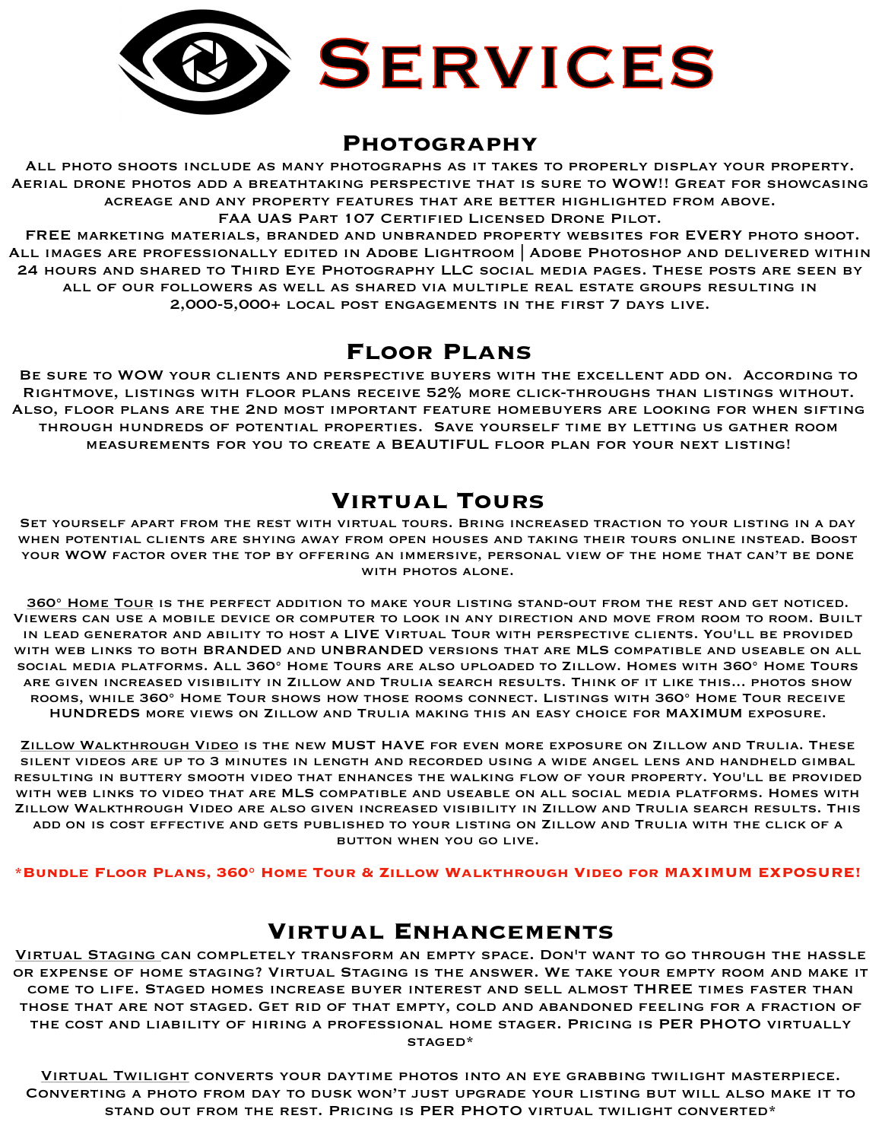

## **Photography**

All photo shoots include as many photographs as it takes to properly display your property. Aerial drone photos add a breathtaking perspective that is sure to WOW!! Great for showcasing acreage and any property features that are better highlighted from above. FAA UAS Part 107 Certified Licensed Drone Pilot.

FREE marketing materials, branded and unbranded property websites for EVERY photo shoot. All images are professionally edited in Adobe Lightroom | Adobe Photoshop and delivered within 24 hours and shared to Third Eye Photography LLC social media pages. These posts are seen by all of our followers as well as shared via multiple real estate groups resulting in 2,000-5,000+ local post engagements in the first 7 days live.

## **Floor Plans**

Be sure to WOW your clients and perspective buyers with the excellent add on. According to Rightmove, listings with floor plans receive 52% more click-throughs than listings without. Also, floor plans are the 2nd most important feature homebuyers are looking for when sifting through hundreds of potential properties. Save yourself time by letting us gather room measurements for you to create a BEAUTIFUL floor plan for your next listing!

## **Virtual Tours**

Set yourself apart from the rest with virtual tours. Bring increased traction to your listing in a day when potential clients are shying away from open houses and taking their tours online instead. Boost your WOW factor over the top by offering an immersive, personal view of the home that can't be done WITH PHOTOS ALONE.

360° Home Tour is the perfect addition to make your listing stand-out from the rest and get noticed. Viewers can use a mobile device or computer to look in any direction and move from room to room. Built in lead generator and ability to host a LIVE Virtual Tour with perspective clients. You'll be provided with web links to both BRANDED and UNBRANDED versions that are MLS compatible and useable on all social media platforms. All 360° Home Tours are also uploaded to Zillow. Homes with 360° Home Tours are given increased visibility in Zillow and Trulia search results. Think of it like this... photos show rooms, while 360° Home Tour shows how those rooms connect. Listings with 360° Home Tour receive HUNDREDS more views on Zillow and Trulia making this an easy choice for MAXIMUM exposure.

Zillow Walkthrough Video is the new MUST HAVE for even more exposure on Zillow and Trulia. These silent videos are up to 3 minutes in length and recorded using a wide angel lens and handheld gimbal resulting in buttery smooth video that enhances the walking flow of your property. You'll be provided with web links to video that are MLS compatible and useable on all social media platforms. Homes with Zillow Walkthrough Video are also given increased visibility in Zillow and Trulia search results. This add on is cost effective and gets published to your listing on Zillow and Trulia with the click of a button when you go live.

**\*Bundle Floor Plans, 360° Home Tour & Zillow Walkthrough Video for MAXIMUM EXPOSURE!**

## **Virtual Enhancements**

Virtual Staging can completely transform an empty space. Don't want to go through the hassle or expense of home staging? Virtual Staging is the answer. We take your empty room and make it come to life. Staged homes increase buyer interest and sell almost THREE times faster than those that are not staged. Get rid of that empty, cold and abandoned feeling for a fraction of the cost and liability of hiring a professional home stager. Pricing is PER PHOTO virtually staged\*

Virtual Twilight converts your daytime photos into an eye grabbing twilight masterpiece. Converting a photo from day to dusk won't just upgrade your listing but will also make it to stand out from the rest. Pricing is PER PHOTO virtual twilight converted\*